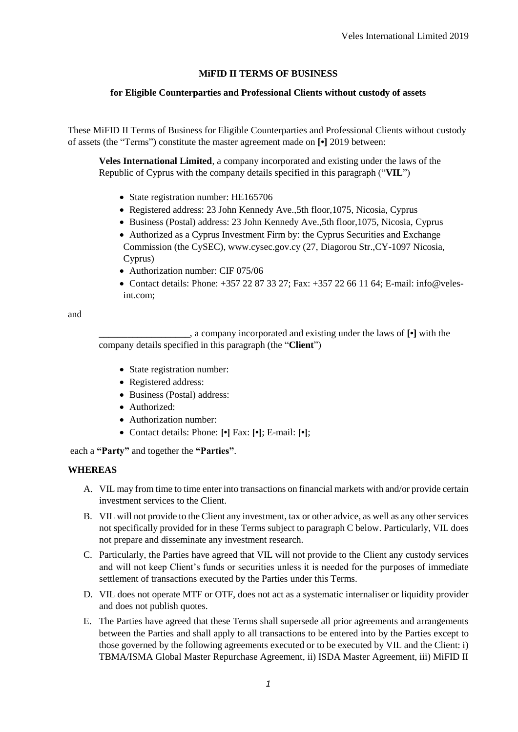# **MiFID II TERMS OF BUSINESS**

# **for Eligible Counterparties and Professional Clients without custody of assets**

These MiFID II Terms of Business for Eligible Counterparties and Professional Clients without custody of assets (the "Terms") constitute the master agreement made on **[•]** 2019 between:

**Veles International Limited**, a company incorporated and existing under the laws of the Republic of Cyprus with the company details specified in this paragraph ("**VIL**")

- State registration number: HE165706
- Registered address: 23 John Kennedy Ave.,5th floor,1075, Nicosia, Cyprus
- Business (Postal) address: 23 John Kennedy Ave.,5th floor,1075, Nicosia, Cyprus
- Authorized as a Cyprus Investment Firm by: the Cyprus Securities and Exchange Commission (the CySEC), www.cysec.gov.cy (27, Diagorou Str.,CY-1097 Nicosia, Cyprus)
- Authorization number: CIF 075/06
- Contact details: Phone:  $+35722873327$ ; Fax:  $+35722661164$ ; E-mail: info@velesint.com;

and

**\_\_\_\_\_\_\_\_\_\_\_\_\_\_\_\_\_\_\_**, a company incorporated and existing under the laws of **[•]** with the company details specified in this paragraph (the "**Client**")

- State registration number:
- Registered address:
- Business (Postal) address:
- Authorized:
- Authorization number:
- Contact details: Phone: **[•]** Fax: **[•]**; E-mail: **[•]**;

each a **"Party"** and together the **"Parties"**.

# **WHEREAS**

- A. VIL may from time to time enter into transactions on financial markets with and/or provide certain investment services to the Client.
- B. VIL will not provide to the Client any investment, tax or other advice, as well as any other services not specifically provided for in these Terms subject to paragraph C below. Particularly, VIL does not prepare and disseminate any investment research.
- C. Particularly, the Parties have agreed that VIL will not provide to the Client any custody services and will not keep Client's funds or securities unless it is needed for the purposes of immediate settlement of transactions executed by the Parties under this Terms.
- D. VIL does not operate MTF or OTF, does not act as a systematic internaliser or liquidity provider and does not publish quotes.
- E. The Parties have agreed that these Terms shall supersede all prior agreements and arrangements between the Parties and shall apply to all transactions to be entered into by the Parties except to those governed by the following agreements executed or to be executed by VIL and the Client: i) TBMA/ISMA Global Master Repurchase Agreement, ii) ISDA Master Agreement, iii) MiFID II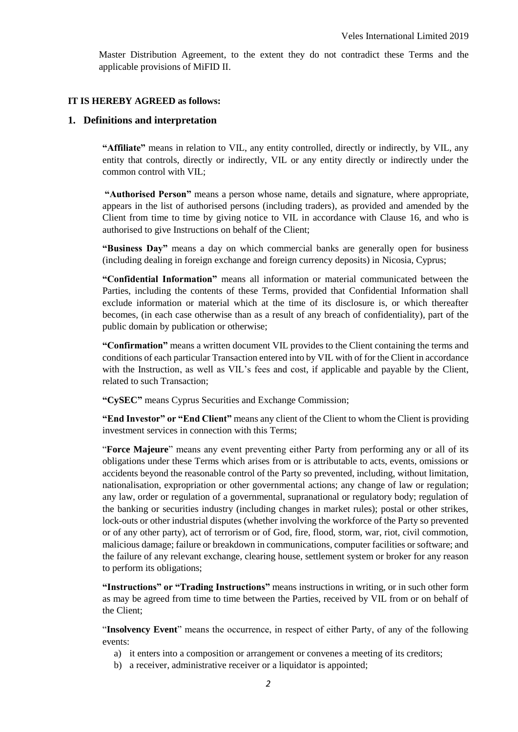Master Distribution Agreement, to the extent they do not contradict these Terms and the applicable provisions of MiFID II.

#### **IT IS HEREBY AGREED as follows:**

### **1. Definitions and interpretation**

**"Affiliate"** means in relation to VIL, any entity controlled, directly or indirectly, by VIL, any entity that controls, directly or indirectly, VIL or any entity directly or indirectly under the common control with VIL;

**"Authorised Person"** means a person whose name, details and signature, where appropriate, appears in the list of authorised persons (including traders), as provided and amended by the Client from time to time by giving notice to VIL in accordance with Clause 16, and who is authorised to give Instructions on behalf of the Client;

**"Business Day"** means a day on which commercial banks are generally open for business (including dealing in foreign exchange and foreign currency deposits) in Nicosia, Cyprus;

**"Confidential Information"** means all information or material communicated between the Parties, including the contents of these Terms, provided that Confidential Information shall exclude information or material which at the time of its disclosure is, or which thereafter becomes, (in each case otherwise than as a result of any breach of confidentiality), part of the public domain by publication or otherwise;

**"Confirmation"** means a written document VIL provides to the Client containing the terms and conditions of each particular Transaction entered into by VIL with of for the Client in accordance with the Instruction, as well as VIL's fees and cost, if applicable and payable by the Client, related to such Transaction;

**"CySEC"** means Cyprus Securities and Exchange Commission;

**"End Investor" or "End Client"** means any client of the Client to whom the Client is providing investment services in connection with this Terms;

"**Force Majeure**" means any event preventing either Party from performing any or all of its obligations under these Terms which arises from or is attributable to acts, events, omissions or accidents beyond the reasonable control of the Party so prevented, including, without limitation, nationalisation, expropriation or other governmental actions; any change of law or regulation; any law, order or regulation of a governmental, supranational or regulatory body; regulation of the banking or securities industry (including changes in market rules); postal or other strikes, lock-outs or other industrial disputes (whether involving the workforce of the Party so prevented or of any other party), act of terrorism or of God, fire, flood, storm, war, riot, civil commotion, malicious damage; failure or breakdown in communications, computer facilities or software; and the failure of any relevant exchange, clearing house, settlement system or broker for any reason to perform its obligations;

**"Instructions" or "Trading Instructions"** means instructions in writing, or in such other form as may be agreed from time to time between the Parties, received by VIL from or on behalf of the Client;

"**Insolvency Event**" means the occurrence, in respect of either Party, of any of the following events:

- a) it enters into a composition or arrangement or convenes a meeting of its creditors;
- b) a receiver, administrative receiver or a liquidator is appointed;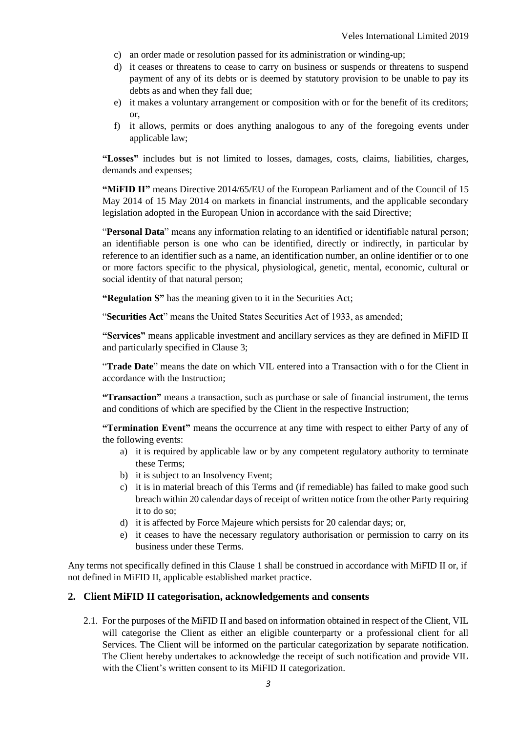- c) an order made or resolution passed for its administration or winding-up;
- d) it ceases or threatens to cease to carry on business or suspends or threatens to suspend payment of any of its debts or is deemed by statutory provision to be unable to pay its debts as and when they fall due;
- e) it makes a voluntary arrangement or composition with or for the benefit of its creditors; or,
- f) it allows, permits or does anything analogous to any of the foregoing events under applicable law;

**"Losses"** includes but is not limited to losses, damages, costs, claims, liabilities, charges, demands and expenses;

**"MiFID II"** means Directive 2014/65/EU of the European Parliament and of the Council of 15 May 2014 of 15 May 2014 on markets in financial instruments, and the applicable secondary legislation adopted in the European Union in accordance with the said Directive;

"**Personal Data**" means any information relating to an identified or identifiable natural person; an identifiable person is one who can be identified, directly or indirectly, in particular by reference to an identifier such as a name, an identification number, an online identifier or to one or more factors specific to the physical, physiological, genetic, mental, economic, cultural or social identity of that natural person;

**"Regulation S"** has the meaning given to it in the Securities Act;

"**Securities Act**" means the United States Securities Act of 1933, as amended;

**"Services"** means applicable investment and ancillary services as they are defined in MiFID II and particularly specified in Clause 3;

"**Trade Date**" means the date on which VIL entered into a Transaction with o for the Client in accordance with the Instruction;

**"Transaction"** means a transaction, such as purchase or sale of financial instrument, the terms and conditions of which are specified by the Client in the respective Instruction;

**"Termination Event"** means the occurrence at any time with respect to either Party of any of the following events:

- a) it is required by applicable law or by any competent regulatory authority to terminate these Terms;
- b) it is subject to an Insolvency Event;
- c) it is in material breach of this Terms and (if remediable) has failed to make good such breach within 20 calendar days of receipt of written notice from the other Party requiring it to do so;
- d) it is affected by Force Majeure which persists for 20 calendar days; or,
- e) it ceases to have the necessary regulatory authorisation or permission to carry on its business under these Terms.

Any terms not specifically defined in this Clause 1 shall be construed in accordance with MiFID II or, if not defined in MiFID II, applicable established market practice.

# **2. Client MiFID II categorisation, acknowledgements and consents**

2.1. For the purposes of the MiFID II and based on information obtained in respect of the Client, VIL will categorise the Client as either an eligible counterparty or a professional client for all Services. The Client will be informed on the particular categorization by separate notification. The Client hereby undertakes to acknowledge the receipt of such notification and provide VIL with the Client's written consent to its MiFID II categorization.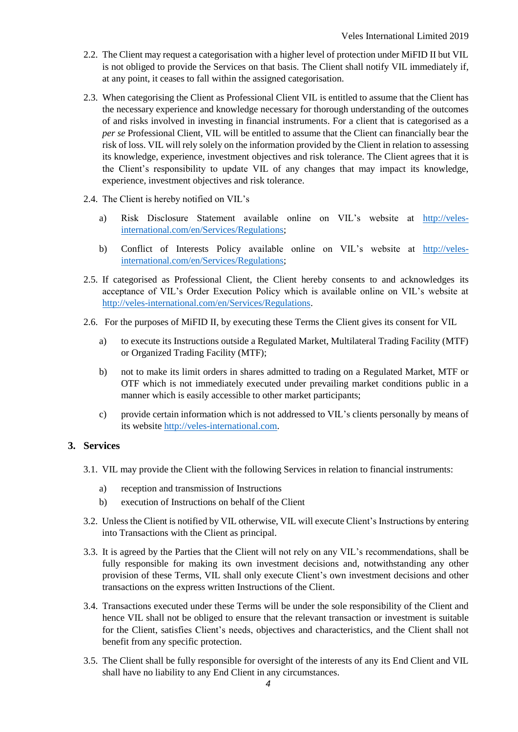- 2.2. The Client may request a categorisation with a higher level of protection under MiFID II but VIL is not obliged to provide the Services on that basis. The Client shall notify VIL immediately if, at any point, it ceases to fall within the assigned categorisation.
- 2.3. When categorising the Client as Professional Client VIL is entitled to assume that the Client has the necessary experience and knowledge necessary for thorough understanding of the outcomes of and risks involved in investing in financial instruments. For a client that is categorised as a *per se* Professional Client, VIL will be entitled to assume that the Client can financially bear the risk of loss. VIL will rely solely on the information provided by the Client in relation to assessing its knowledge, experience, investment objectives and risk tolerance. The Client agrees that it is the Client's responsibility to update VIL of any changes that may impact its knowledge, experience, investment objectives and risk tolerance.
- 2.4. The Client is hereby notified on VIL's
	- a) Risk Disclosure Statement available online on VIL's website at [http://veles](http://veles-international.com/en/Services/Regulations)[international.com/en/Services/Regulations;](http://veles-international.com/en/Services/Regulations)
	- b) Conflict of Interests Policy available online on VIL's website at [http://veles](http://veles-international.com/en/Services/Regulations)[international.com/en/Services/Regulations;](http://veles-international.com/en/Services/Regulations)
- 2.5. If categorised as Professional Client, the Client hereby consents to and acknowledges its acceptance of VIL's Order Execution Policy which is available online on VIL's website at [http://veles-international.com/en/Services/Regulations.](http://veles-international.com/en/Services/Regulations)
- 2.6. For the purposes of MiFID II, by executing these Terms the Client gives its consent for VIL
	- a) to execute its Instructions outside a Regulated Market, Multilateral Trading Facility (MTF) or Organized Trading Facility (MTF);
	- b) not to make its limit orders in shares admitted to trading on a Regulated Market, MTF or OTF which is not immediately executed under prevailing market conditions public in a manner which is easily accessible to other market participants;
	- c) provide certain information which is not addressed to VIL's clients personally by means of its websit[e http://veles-international.com.](http://veles-international.com/)

### **3. Services**

- 3.1. VIL may provide the Client with the following Services in relation to financial instruments:
	- a) reception and transmission of Instructions
	- b) execution of Instructions on behalf of the Client
- 3.2. Unless the Client is notified by VIL otherwise, VIL will execute Client's Instructions by entering into Transactions with the Client as principal.
- 3.3. It is agreed by the Parties that the Client will not rely on any VIL's recommendations, shall be fully responsible for making its own investment decisions and, notwithstanding any other provision of these Terms, VIL shall only execute Client's own investment decisions and other transactions on the express written Instructions of the Client.
- 3.4. Transactions executed under these Terms will be under the sole responsibility of the Client and hence VIL shall not be obliged to ensure that the relevant transaction or investment is suitable for the Client, satisfies Client's needs, objectives and characteristics, and the Client shall not benefit from any specific protection.
- 3.5. The Client shall be fully responsible for oversight of the interests of any its End Client and VIL shall have no liability to any End Client in any circumstances.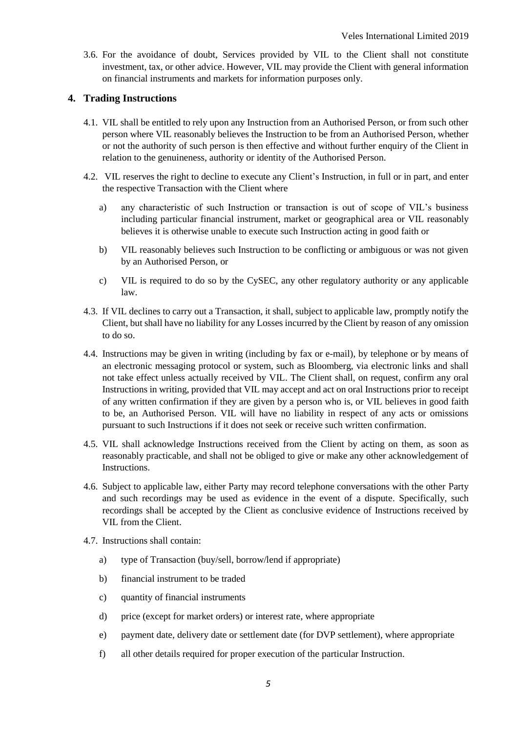3.6. For the avoidance of doubt, Services provided by VIL to the Client shall not constitute investment, tax, or other advice. However, VIL may provide the Client with general information on financial instruments and markets for information purposes only.

# **4. Trading Instructions**

- 4.1. VIL shall be entitled to rely upon any Instruction from an Authorised Person, or from such other person where VIL reasonably believes the Instruction to be from an Authorised Person, whether or not the authority of such person is then effective and without further enquiry of the Client in relation to the genuineness, authority or identity of the Authorised Person.
- 4.2. VIL reserves the right to decline to execute any Client's Instruction, in full or in part, and enter the respective Transaction with the Client where
	- a) any characteristic of such Instruction or transaction is out of scope of VIL's business including particular financial instrument, market or geographical area or VIL reasonably believes it is otherwise unable to execute such Instruction acting in good faith or
	- b) VIL reasonably believes such Instruction to be conflicting or ambiguous or was not given by an Authorised Person, or
	- c) VIL is required to do so by the CySEC, any other regulatory authority or any applicable law.
- 4.3. If VIL declines to carry out a Transaction, it shall, subject to applicable law, promptly notify the Client, but shall have no liability for any Losses incurred by the Client by reason of any omission to do so.
- 4.4. Instructions may be given in writing (including by fax or e-mail), by telephone or by means of an electronic messaging protocol or system, such as Bloomberg, via electronic links and shall not take effect unless actually received by VIL. The Client shall, on request, confirm any oral Instructions in writing, provided that VIL may accept and act on oral Instructions prior to receipt of any written confirmation if they are given by a person who is, or VIL believes in good faith to be, an Authorised Person. VIL will have no liability in respect of any acts or omissions pursuant to such Instructions if it does not seek or receive such written confirmation.
- 4.5. VIL shall acknowledge Instructions received from the Client by acting on them, as soon as reasonably practicable, and shall not be obliged to give or make any other acknowledgement of Instructions.
- 4.6. Subject to applicable law, either Party may record telephone conversations with the other Party and such recordings may be used as evidence in the event of a dispute. Specifically, such recordings shall be accepted by the Client as conclusive evidence of Instructions received by VIL from the Client.
- 4.7. Instructions shall contain:
	- a) type of Transaction (buy/sell, borrow/lend if appropriate)
	- b) financial instrument to be traded
	- c) quantity of financial instruments
	- d) price (except for market orders) or interest rate, where appropriate
	- e) payment date, delivery date or settlement date (for DVP settlement), where appropriate
	- f) all other details required for proper execution of the particular Instruction.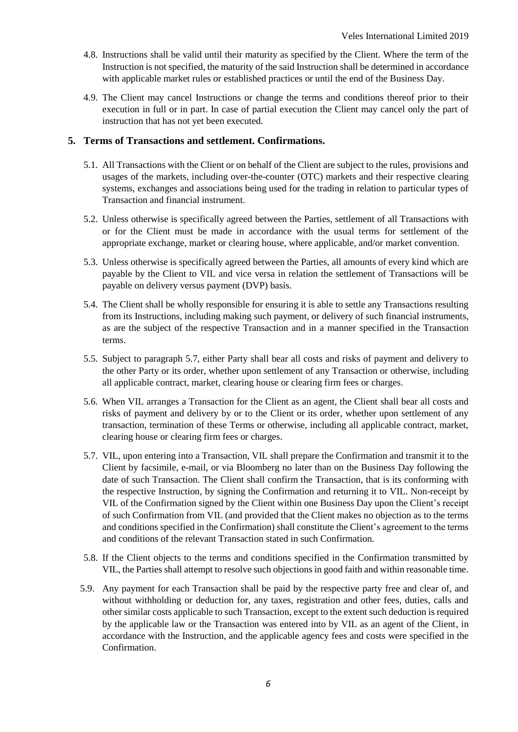- 4.8. Instructions shall be valid until their maturity as specified by the Client. Where the term of the Instruction is not specified, the maturity of the said Instruction shall be determined in accordance with applicable market rules or established practices or until the end of the Business Day.
- 4.9. The Client may cancel Instructions or change the terms and conditions thereof prior to their execution in full or in part. In case of partial execution the Client may cancel only the part of instruction that has not yet been executed.

# **5. Terms of Transactions and settlement. Confirmations.**

- 5.1. All Transactions with the Client or on behalf of the Client are subject to the rules, provisions and usages of the markets, including over-the-counter (OTC) markets and their respective clearing systems, exchanges and associations being used for the trading in relation to particular types of Transaction and financial instrument.
- 5.2. Unless otherwise is specifically agreed between the Parties, settlement of all Transactions with or for the Client must be made in accordance with the usual terms for settlement of the appropriate exchange, market or clearing house, where applicable, and/or market convention.
- 5.3. Unless otherwise is specifically agreed between the Parties, all amounts of every kind which are payable by the Client to VIL and vice versa in relation the settlement of Transactions will be payable on delivery versus payment (DVP) basis.
- 5.4. The Client shall be wholly responsible for ensuring it is able to settle any Transactions resulting from its Instructions, including making such payment, or delivery of such financial instruments, as are the subject of the respective Transaction and in a manner specified in the Transaction terms.
- 5.5. Subject to paragraph 5.7, either Party shall bear all costs and risks of payment and delivery to the other Party or its order, whether upon settlement of any Transaction or otherwise, including all applicable contract, market, clearing house or clearing firm fees or charges.
- 5.6. When VIL arranges a Transaction for the Client as an agent, the Client shall bear all costs and risks of payment and delivery by or to the Client or its order, whether upon settlement of any transaction, termination of these Terms or otherwise, including all applicable contract, market, clearing house or clearing firm fees or charges.
- 5.7. VIL, upon entering into a Transaction, VIL shall prepare the Confirmation and transmit it to the Client by facsimile, e-mail, or via Bloomberg no later than on the Business Day following the date of such Transaction. The Client shall confirm the Transaction, that is its conforming with the respective Instruction, by signing the Confirmation and returning it to VIL. Non-receipt by VIL of the Confirmation signed by the Client within one Business Day upon the Client's receipt of such Confirmation from VIL (and provided that the Client makes no objection as to the terms and conditions specified in the Confirmation) shall constitute the Client's agreement to the terms and conditions of the relevant Transaction stated in such Confirmation.
- 5.8. If the Client objects to the terms and conditions specified in the Confirmation transmitted by VIL, the Parties shall attempt to resolve such objections in good faith and within reasonable time.
- 5.9. Any payment for each Transaction shall be paid by the respective party free and clear of, and without withholding or deduction for, any taxes, registration and other fees, duties, calls and other similar costs applicable to such Transaction, except to the extent such deduction is required by the applicable law or the Transaction was entered into by VIL as an agent of the Client, in accordance with the Instruction, and the applicable agency fees and costs were specified in the Confirmation.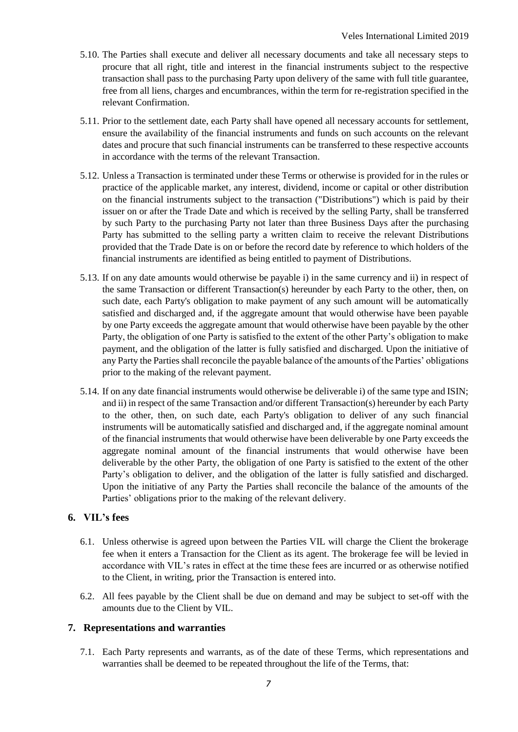- 5.10. The Parties shall execute and deliver all necessary documents and take all necessary steps to procure that all right, title and interest in the financial instruments subject to the respective transaction shall pass to the purchasing Party upon delivery of the same with full title guarantee, free from all liens, charges and encumbrances, within the term for re-registration specified in the relevant Confirmation.
- 5.11. Prior to the settlement date, each Party shall have opened all necessary accounts for settlement, ensure the availability of the financial instruments and funds on such accounts on the relevant dates and procure that such financial instruments can be transferred to these respective accounts in accordance with the terms of the relevant Transaction.
- 5.12. Unless a Transaction is terminated under these Terms or otherwise is provided for in the rules or practice of the applicable market, any interest, dividend, income or capital or other distribution on the financial instruments subject to the transaction ("Distributions") which is paid by their issuer on or after the Trade Date and which is received by the selling Party, shall be transferred by such Party to the purchasing Party not later than three Business Days after the purchasing Party has submitted to the selling party a written claim to receive the relevant Distributions provided that the Trade Date is on or before the record date by reference to which holders of the financial instruments are identified as being entitled to payment of Distributions.
- 5.13. If on any date amounts would otherwise be payable i) in the same currency and ii) in respect of the same Transaction or different Transaction(s) hereunder by each Party to the other, then, on such date, each Party's obligation to make payment of any such amount will be automatically satisfied and discharged and, if the aggregate amount that would otherwise have been payable by one Party exceeds the aggregate amount that would otherwise have been payable by the other Party, the obligation of one Party is satisfied to the extent of the other Party's obligation to make payment, and the obligation of the latter is fully satisfied and discharged. Upon the initiative of any Party the Parties shall reconcile the payable balance of the amounts of the Parties' obligations prior to the making of the relevant payment.
- 5.14. If on any date financial instruments would otherwise be deliverable i) of the same type and ISIN; and ii) in respect of the same Transaction and/or different Transaction(s) hereunder by each Party to the other, then, on such date, each Party's obligation to deliver of any such financial instruments will be automatically satisfied and discharged and, if the aggregate nominal amount of the financial instruments that would otherwise have been deliverable by one Party exceeds the aggregate nominal amount of the financial instruments that would otherwise have been deliverable by the other Party, the obligation of one Party is satisfied to the extent of the other Party's obligation to deliver, and the obligation of the latter is fully satisfied and discharged. Upon the initiative of any Party the Parties shall reconcile the balance of the amounts of the Parties' obligations prior to the making of the relevant delivery.

# **6. VIL's fees**

- 6.1. Unless otherwise is agreed upon between the Parties VIL will charge the Client the brokerage fee when it enters a Transaction for the Client as its agent. The brokerage fee will be levied in accordance with VIL's rates in effect at the time these fees are incurred or as otherwise notified to the Client, in writing, prior the Transaction is entered into.
- 6.2. All fees payable by the Client shall be due on demand and may be subject to set-off with the amounts due to the Client by VIL.

# **7. Representations and warranties**

7.1. Each Party represents and warrants, as of the date of these Terms, which representations and warranties shall be deemed to be repeated throughout the life of the Terms, that: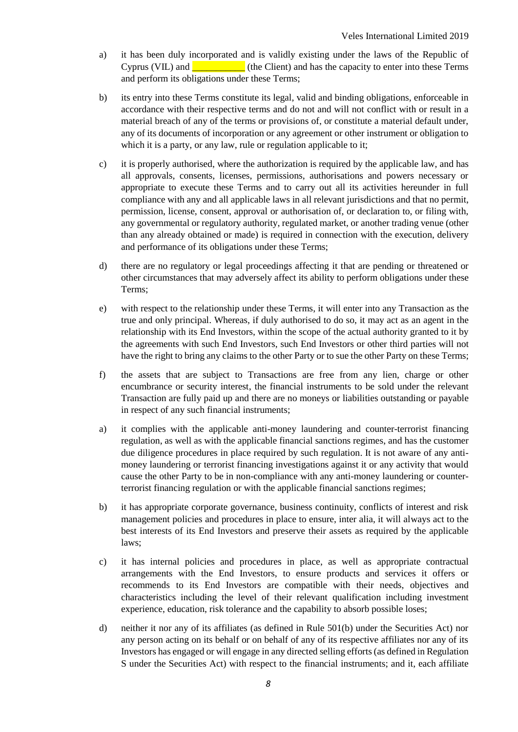- a) it has been duly incorporated and is validly existing under the laws of the Republic of Cyprus (VIL) and  $\Box$  (the Client) and has the capacity to enter into these Terms and perform its obligations under these Terms;
- b) its entry into these Terms constitute its legal, valid and binding obligations, enforceable in accordance with their respective terms and do not and will not conflict with or result in a material breach of any of the terms or provisions of, or constitute a material default under, any of its documents of incorporation or any agreement or other instrument or obligation to which it is a party, or any law, rule or regulation applicable to it;
- c) it is properly authorised, where the authorization is required by the applicable law, and has all approvals, consents, licenses, permissions, authorisations and powers necessary or appropriate to execute these Terms and to carry out all its activities hereunder in full compliance with any and all applicable laws in all relevant jurisdictions and that no permit, permission, license, consent, approval or authorisation of, or declaration to, or filing with, any governmental or regulatory authority, regulated market, or another trading venue (other than any already obtained or made) is required in connection with the execution, delivery and performance of its obligations under these Terms;
- d) there are no regulatory or legal proceedings affecting it that are pending or threatened or other circumstances that may adversely affect its ability to perform obligations under these Terms;
- e) with respect to the relationship under these Terms, it will enter into any Transaction as the true and only principal. Whereas, if duly authorised to do so, it may act as an agent in the relationship with its End Investors, within the scope of the actual authority granted to it by the agreements with such End Investors, such End Investors or other third parties will not have the right to bring any claims to the other Party or to sue the other Party on these Terms;
- f) the assets that are subject to Transactions are free from any lien, charge or other encumbrance or security interest, the financial instruments to be sold under the relevant Transaction are fully paid up and there are no moneys or liabilities outstanding or payable in respect of any such financial instruments;
- a) it complies with the applicable anti-money laundering and counter-terrorist financing regulation, as well as with the applicable financial sanctions regimes, and has the customer due diligence procedures in place required by such regulation. It is not aware of any antimoney laundering or terrorist financing investigations against it or any activity that would cause the other Party to be in non-compliance with any anti-money laundering or counterterrorist financing regulation or with the applicable financial sanctions regimes;
- b) it has appropriate corporate governance, business continuity, conflicts of interest and risk management policies and procedures in place to ensure, inter alia, it will always act to the best interests of its End Investors and preserve their assets as required by the applicable laws;
- c) it has internal policies and procedures in place, as well as appropriate contractual arrangements with the End Investors, to ensure products and services it offers or recommends to its End Investors are compatible with their needs, objectives and characteristics including the level of their relevant qualification including investment experience, education, risk tolerance and the capability to absorb possible loses;
- d) neither it nor any of its affiliates (as defined in Rule 501(b) under the Securities Act) nor any person acting on its behalf or on behalf of any of its respective affiliates nor any of its Investors has engaged or will engage in any directed selling efforts (as defined in Regulation S under the Securities Act) with respect to the financial instruments; and it, each affiliate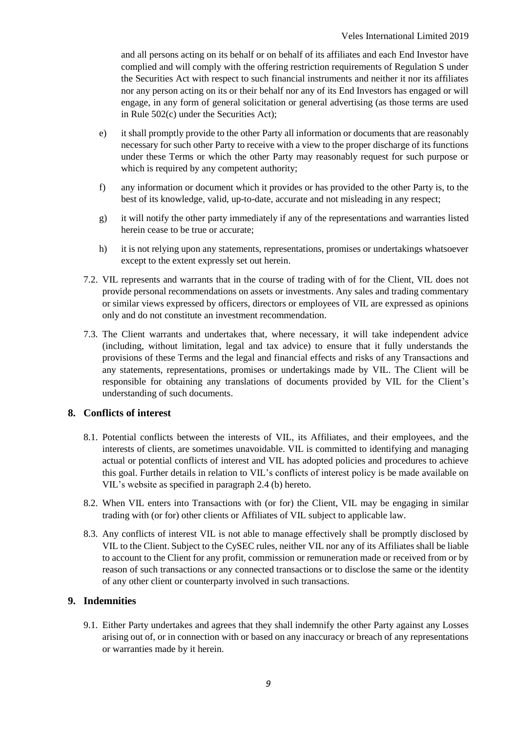and all persons acting on its behalf or on behalf of its affiliates and each End Investor have complied and will comply with the offering restriction requirements of Regulation S under the Securities Act with respect to such financial instruments and neither it nor its affiliates nor any person acting on its or their behalf nor any of its End Investors has engaged or will engage, in any form of general solicitation or general advertising (as those terms are used in Rule 502(c) under the Securities Act);

- e) it shall promptly provide to the other Party all information or documents that are reasonably necessary for such other Party to receive with a view to the proper discharge of its functions under these Terms or which the other Party may reasonably request for such purpose or which is required by any competent authority;
- f) any information or document which it provides or has provided to the other Party is, to the best of its knowledge, valid, up-to-date, accurate and not misleading in any respect;
- g) it will notify the other party immediately if any of the representations and warranties listed herein cease to be true or accurate;
- h) it is not relying upon any statements, representations, promises or undertakings whatsoever except to the extent expressly set out herein.
- 7.2. VIL represents and warrants that in the course of trading with of for the Client, VIL does not provide personal recommendations on assets or investments. Any sales and trading commentary or similar views expressed by officers, directors or employees of VIL are expressed as opinions only and do not constitute an investment recommendation.
- 7.3. The Client warrants and undertakes that, where necessary, it will take independent advice (including, without limitation, legal and tax advice) to ensure that it fully understands the provisions of these Terms and the legal and financial effects and risks of any Transactions and any statements, representations, promises or undertakings made by VIL. The Client will be responsible for obtaining any translations of documents provided by VIL for the Client's understanding of such documents.

# **8. Conflicts of interest**

- 8.1. Potential conflicts between the interests of VIL, its Affiliates, and their employees, and the interests of clients, are sometimes unavoidable. VIL is committed to identifying and managing actual or potential conflicts of interest and VIL has adopted policies and procedures to achieve this goal. Further details in relation to VIL's conflicts of interest policy is be made available on VIL's website as specified in paragraph 2.4 (b) hereto.
- 8.2. When VIL enters into Transactions with (or for) the Client, VIL may be engaging in similar trading with (or for) other clients or Affiliates of VIL subject to applicable law.
- 8.3. Any conflicts of interest VIL is not able to manage effectively shall be promptly disclosed by VIL to the Client. Subject to the CySEC rules, neither VIL nor any of its Affiliates shall be liable to account to the Client for any profit, commission or remuneration made or received from or by reason of such transactions or any connected transactions or to disclose the same or the identity of any other client or counterparty involved in such transactions.

# **9. Indemnities**

9.1. Either Party undertakes and agrees that they shall indemnify the other Party against any Losses arising out of, or in connection with or based on any inaccuracy or breach of any representations or warranties made by it herein.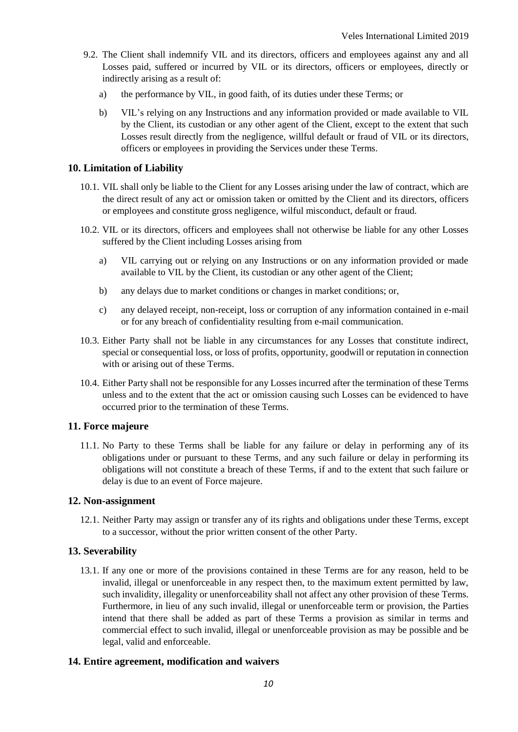- 9.2. The Client shall indemnify VIL and its directors, officers and employees against any and all Losses paid, suffered or incurred by VIL or its directors, officers or employees, directly or indirectly arising as a result of:
	- a) the performance by VIL, in good faith, of its duties under these Terms; or
	- b) VIL's relying on any Instructions and any information provided or made available to VIL by the Client, its custodian or any other agent of the Client, except to the extent that such Losses result directly from the negligence, willful default or fraud of VIL or its directors, officers or employees in providing the Services under these Terms.

### **10. Limitation of Liability**

- 10.1. VIL shall only be liable to the Client for any Losses arising under the law of contract, which are the direct result of any act or omission taken or omitted by the Client and its directors, officers or employees and constitute gross negligence, wilful misconduct, default or fraud.
- 10.2. VIL or its directors, officers and employees shall not otherwise be liable for any other Losses suffered by the Client including Losses arising from
	- a) VIL carrying out or relying on any Instructions or on any information provided or made available to VIL by the Client, its custodian or any other agent of the Client;
	- b) any delays due to market conditions or changes in market conditions; or,
	- c) any delayed receipt, non-receipt, loss or corruption of any information contained in e-mail or for any breach of confidentiality resulting from e-mail communication.
- 10.3. Either Party shall not be liable in any circumstances for any Losses that constitute indirect, special or consequential loss, or loss of profits, opportunity, goodwill or reputation in connection with or arising out of these Terms.
- 10.4. Either Party shall not be responsible for any Losses incurred after the termination of these Terms unless and to the extent that the act or omission causing such Losses can be evidenced to have occurred prior to the termination of these Terms.

# **11. Force majeure**

11.1. No Party to these Terms shall be liable for any failure or delay in performing any of its obligations under or pursuant to these Terms, and any such failure or delay in performing its obligations will not constitute a breach of these Terms, if and to the extent that such failure or delay is due to an event of Force majeure.

### **12. Non-assignment**

12.1. Neither Party may assign or transfer any of its rights and obligations under these Terms, except to a successor, without the prior written consent of the other Party.

# **13. Severability**

13.1. If any one or more of the provisions contained in these Terms are for any reason, held to be invalid, illegal or unenforceable in any respect then, to the maximum extent permitted by law, such invalidity, illegality or unenforceability shall not affect any other provision of these Terms. Furthermore, in lieu of any such invalid, illegal or unenforceable term or provision, the Parties intend that there shall be added as part of these Terms a provision as similar in terms and commercial effect to such invalid, illegal or unenforceable provision as may be possible and be legal, valid and enforceable.

# **14. Entire agreement, modification and waivers**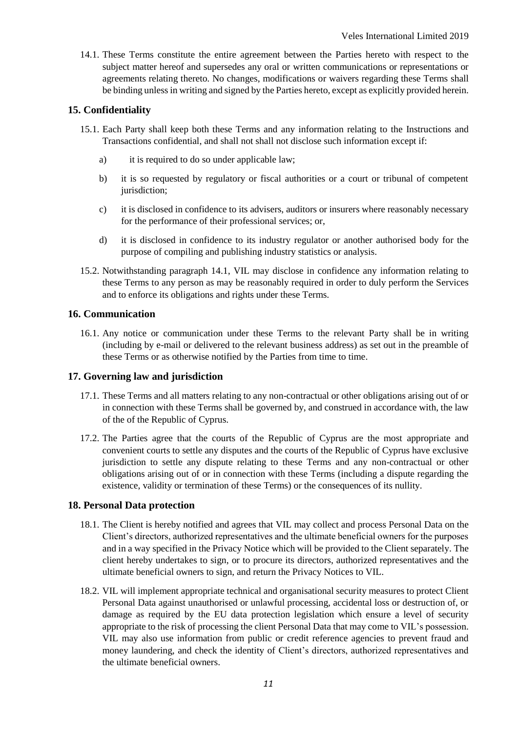14.1. These Terms constitute the entire agreement between the Parties hereto with respect to the subject matter hereof and supersedes any oral or written communications or representations or agreements relating thereto. No changes, modifications or waivers regarding these Terms shall be binding unless in writing and signed by the Parties hereto, except as explicitly provided herein.

# **15. Confidentiality**

- 15.1. Each Party shall keep both these Terms and any information relating to the Instructions and Transactions confidential, and shall not shall not disclose such information except if:
	- a) it is required to do so under applicable law;
	- b) it is so requested by regulatory or fiscal authorities or a court or tribunal of competent jurisdiction;
	- c) it is disclosed in confidence to its advisers, auditors or insurers where reasonably necessary for the performance of their professional services; or,
	- d) it is disclosed in confidence to its industry regulator or another authorised body for the purpose of compiling and publishing industry statistics or analysis.
- 15.2. Notwithstanding paragraph 14.1, VIL may disclose in confidence any information relating to these Terms to any person as may be reasonably required in order to duly perform the Services and to enforce its obligations and rights under these Terms.

# **16. Communication**

16.1. Any notice or communication under these Terms to the relevant Party shall be in writing (including by e-mail or delivered to the relevant business address) as set out in the preamble of these Terms or as otherwise notified by the Parties from time to time.

# **17. Governing law and jurisdiction**

- 17.1. These Terms and all matters relating to any non-contractual or other obligations arising out of or in connection with these Terms shall be governed by, and construed in accordance with, the law of the of the Republic of Cyprus.
- 17.2. The Parties agree that the courts of the Republic of Cyprus are the most appropriate and convenient courts to settle any disputes and the courts of the Republic of Cyprus have exclusive jurisdiction to settle any dispute relating to these Terms and any non-contractual or other obligations arising out of or in connection with these Terms (including a dispute regarding the existence, validity or termination of these Terms) or the consequences of its nullity.

# **18. Personal Data protection**

- 18.1. The Client is hereby notified and agrees that VIL may collect and process Personal Data on the Client's directors, authorized representatives and the ultimate beneficial owners for the purposes and in a way specified in the Privacy Notice which will be provided to the Client separately. The client hereby undertakes to sign, or to procure its directors, authorized representatives and the ultimate beneficial owners to sign, and return the Privacy Notices to VIL.
- 18.2. VIL will implement appropriate technical and organisational security measures to protect Client Personal Data against unauthorised or unlawful processing, accidental loss or destruction of, or damage as required by the EU data protection legislation which ensure a level of security appropriate to the risk of processing the client Personal Data that may come to VIL's possession. VIL may also use information from public or credit reference agencies to prevent fraud and money laundering, and check the identity of Client's directors, authorized representatives and the ultimate beneficial owners.